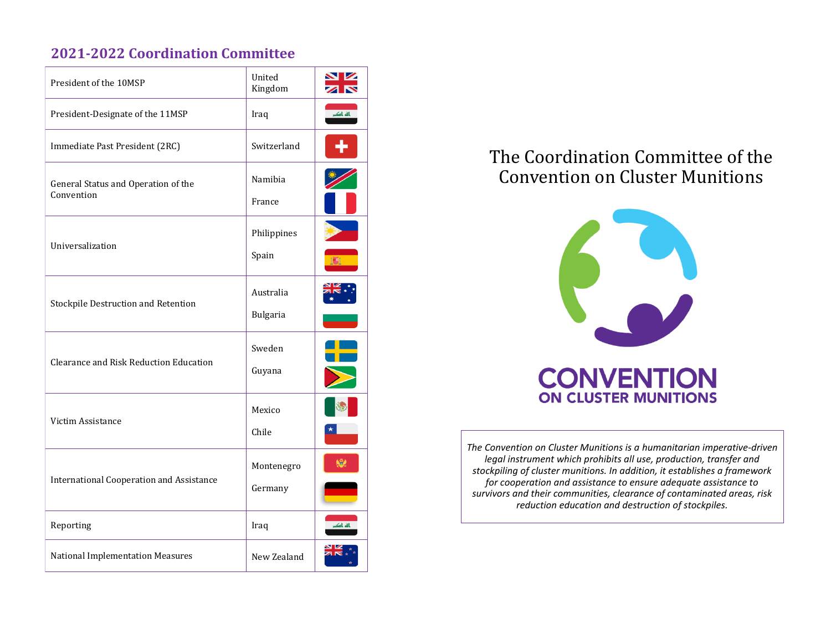## **2021-2022 Coordination Committee**

| President of the 10MSP                            | United<br>Kingdom | Z         |
|---------------------------------------------------|-------------------|-----------|
| President-Designate of the 11MSP                  | Iraq              | باله باکب |
| Immediate Past President (2RC)                    | Switzerland       |           |
| General Status and Operation of the<br>Convention | Namibia           |           |
|                                                   | France            |           |
| Universalization                                  | Philippines       |           |
|                                                   | Spain             |           |
| Stockpile Destruction and Retention               | Australia         |           |
|                                                   | Bulgaria          |           |
| Clearance and Risk Reduction Education            | Sweden            |           |
|                                                   | Guyana            |           |
| Victim Assistance                                 | Mexico            |           |
|                                                   | Chile             |           |
| <b>International Cooperation and Assistance</b>   | Montenegro        |           |
|                                                   | Germany           |           |
| Reporting                                         | Iraq              | ناله باک  |
| <b>National Implementation Measures</b>           | New Zealand       |           |

# The Coordination Committee of the Convention on Cluster Munitions



*The Convention on Cluster Munitions is a humanitarian imperative-driven legal instrument which prohibits all use, production, transfer and stockpiling of cluster munitions. In addition, it establishes a framework for cooperation and assistance to ensure adequate assistance to survivors and their communities, clearance of contaminated areas, risk reduction education and destruction of stockpiles.*